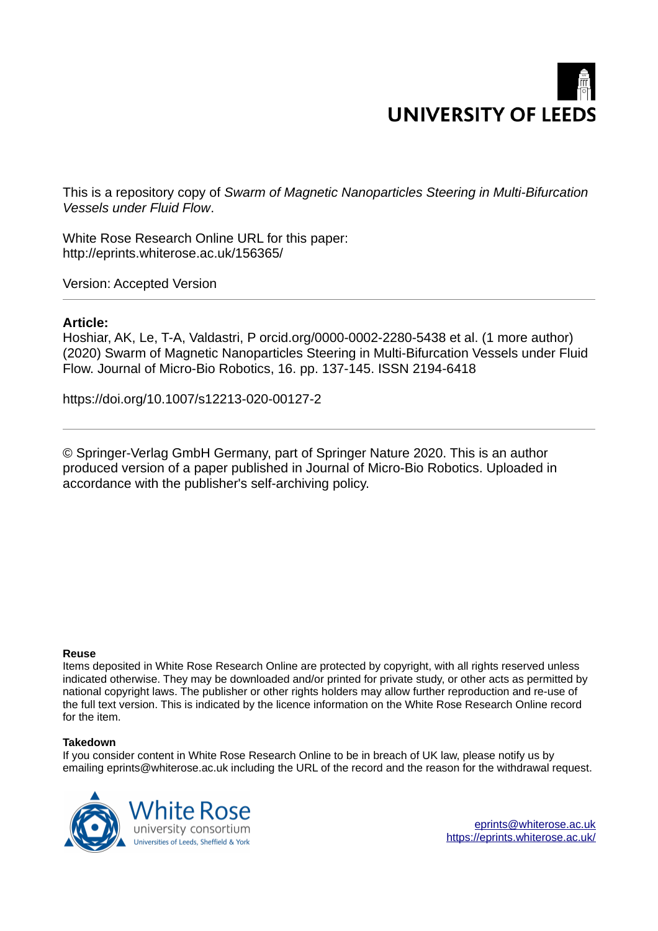# **UNIVERSITY OF LEEDS**

This is a repository copy of *Swarm of Magnetic Nanoparticles Steering in Multi-Bifurcation Vessels under Fluid Flow*.

White Rose Research Online URL for this paper: http://eprints.whiterose.ac.uk/156365/

Version: Accepted Version

# **Article:**

Hoshiar, AK, Le, T-A, Valdastri, P orcid.org/0000-0002-2280-5438 et al. (1 more author) (2020) Swarm of Magnetic Nanoparticles Steering in Multi-Bifurcation Vessels under Fluid Flow. Journal of Micro-Bio Robotics, 16. pp. 137-145. ISSN 2194-6418

https://doi.org/10.1007/s12213-020-00127-2

© Springer-Verlag GmbH Germany, part of Springer Nature 2020. This is an author produced version of a paper published in Journal of Micro-Bio Robotics. Uploaded in accordance with the publisher's self-archiving policy.

## **Reuse**

Items deposited in White Rose Research Online are protected by copyright, with all rights reserved unless indicated otherwise. They may be downloaded and/or printed for private study, or other acts as permitted by national copyright laws. The publisher or other rights holders may allow further reproduction and re-use of the full text version. This is indicated by the licence information on the White Rose Research Online record for the item.

# **Takedown**

If you consider content in White Rose Research Online to be in breach of UK law, please notify us by emailing eprints@whiterose.ac.uk including the URL of the record and the reason for the withdrawal request.



eprints@whiterose.ac.uk https://eprints.whiterose.ac.uk/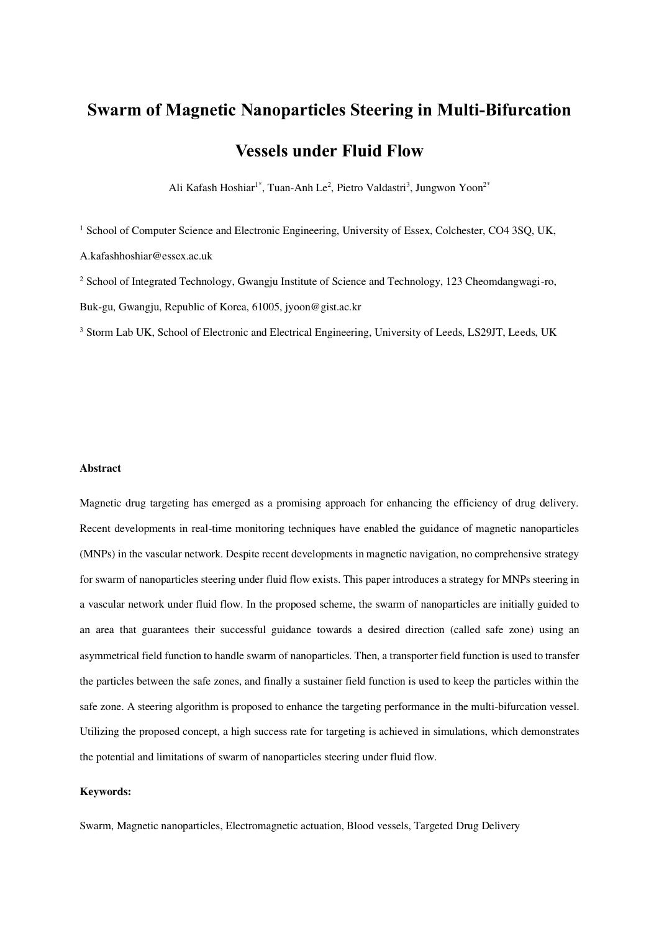# **Swarm of Magnetic Nanoparticles Steering in Multi-Bifurcation Vessels under Fluid Flow**

Ali Kafash Hoshiar<sup>1\*</sup>, Tuan-Anh Le<sup>2</sup>, Pietro Valdastri<sup>3</sup>, Jungwon Yoon<sup>2\*</sup>

<sup>1</sup> School of Computer Science and Electronic Engineering, University of Essex, Colchester, CO4 3SQ, UK,

A.kafashhoshiar@essex.ac.uk

<sup>2</sup> School of Integrated Technology, Gwangju Institute of Science and Technology, 123 Cheomdangwagi-ro, Buk-gu, Gwangju, Republic of Korea, 61005, jyoon@gist.ac.kr

<sup>3</sup> Storm Lab UK, School of Electronic and Electrical Engineering, University of Leeds, LS29JT, Leeds, UK

# **Abstract**

Magnetic drug targeting has emerged as a promising approach for enhancing the efficiency of drug delivery. Recent developments in real-time monitoring techniques have enabled the guidance of magnetic nanoparticles (MNPs) in the vascular network. Despite recent developments in magnetic navigation, no comprehensive strategy for swarm of nanoparticles steering under fluid flow exists. This paper introduces a strategy for MNPs steering in a vascular network under fluid flow. In the proposed scheme, the swarm of nanoparticles are initially guided to an area that guarantees their successful guidance towards a desired direction (called safe zone) using an asymmetrical field function to handle swarm of nanoparticles. Then, a transporter field function is used to transfer the particles between the safe zones, and finally a sustainer field function is used to keep the particles within the safe zone. A steering algorithm is proposed to enhance the targeting performance in the multi-bifurcation vessel. Utilizing the proposed concept, a high success rate for targeting is achieved in simulations, which demonstrates the potential and limitations of swarm of nanoparticles steering under fluid flow.

## **Keywords:**

Swarm, Magnetic nanoparticles, Electromagnetic actuation, Blood vessels, Targeted Drug Delivery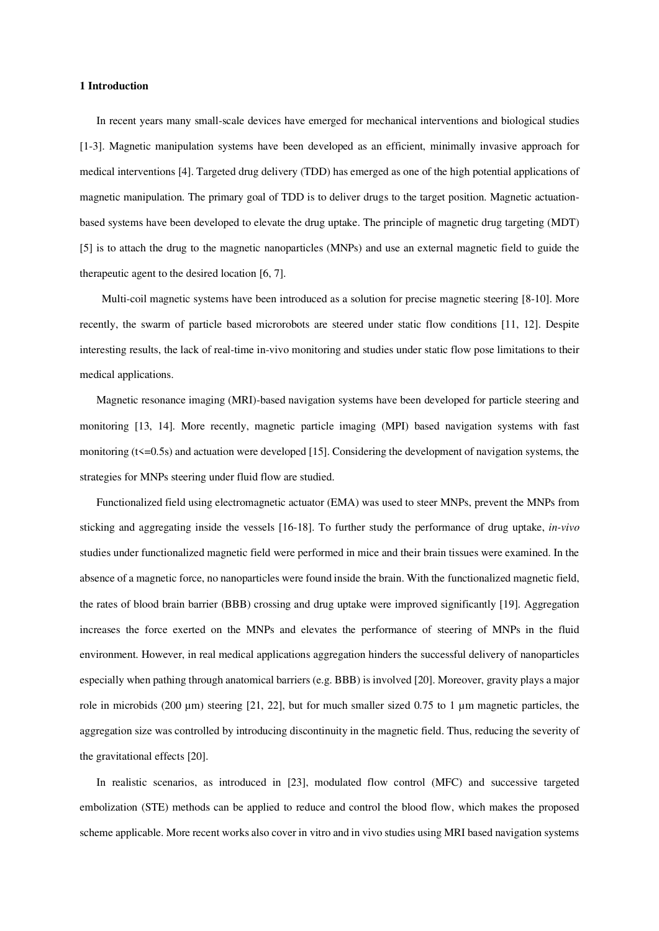#### **1 Introduction**

In recent years many small-scale devices have emerged for mechanical interventions and biological studies [1-3]. Magnetic manipulation systems have been developed as an efficient, minimally invasive approach for medical interventions [4]. Targeted drug delivery (TDD) has emerged as one of the high potential applications of magnetic manipulation. The primary goal of TDD is to deliver drugs to the target position. Magnetic actuationbased systems have been developed to elevate the drug uptake. The principle of magnetic drug targeting (MDT) [5] is to attach the drug to the magnetic nanoparticles (MNPs) and use an external magnetic field to guide the therapeutic agent to the desired location [6, 7].

Multi-coil magnetic systems have been introduced as a solution for precise magnetic steering [8-10]. More recently, the swarm of particle based microrobots are steered under static flow conditions [11, 12]. Despite interesting results, the lack of real-time in-vivo monitoring and studies under static flow pose limitations to their medical applications.

Magnetic resonance imaging (MRI)-based navigation systems have been developed for particle steering and monitoring [13, 14]. More recently, magnetic particle imaging (MPI) based navigation systems with fast monitoring  $(t\leq 0.5s)$  and actuation were developed [15]. Considering the development of navigation systems, the strategies for MNPs steering under fluid flow are studied.

Functionalized field using electromagnetic actuator (EMA) was used to steer MNPs, prevent the MNPs from sticking and aggregating inside the vessels [16-18]. To further study the performance of drug uptake, *in-vivo* studies under functionalized magnetic field were performed in mice and their brain tissues were examined. In the absence of a magnetic force, no nanoparticles were found inside the brain. With the functionalized magnetic field, the rates of blood brain barrier (BBB) crossing and drug uptake were improved significantly [19]. Aggregation increases the force exerted on the MNPs and elevates the performance of steering of MNPs in the fluid environment. However, in real medical applications aggregation hinders the successful delivery of nanoparticles especially when pathing through anatomical barriers (e.g. BBB) is involved [20]. Moreover, gravity plays a major role in microbids (200  $\mu$ m) steering [21, 22], but for much smaller sized 0.75 to 1  $\mu$ m magnetic particles, the aggregation size was controlled by introducing discontinuity in the magnetic field. Thus, reducing the severity of the gravitational effects [20].

In realistic scenarios, as introduced in [23], modulated flow control (MFC) and successive targeted embolization (STE) methods can be applied to reduce and control the blood flow, which makes the proposed scheme applicable. More recent works also cover in vitro and in vivo studies using MRI based navigation systems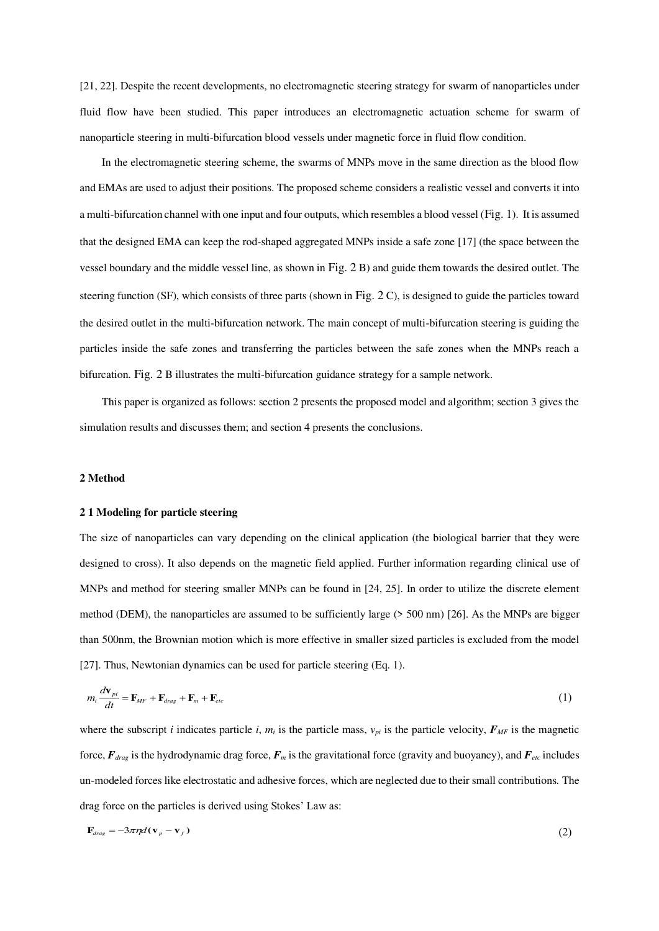[21, 22]. Despite the recent developments, no electromagnetic steering strategy for swarm of nanoparticles under fluid flow have been studied. This paper introduces an electromagnetic actuation scheme for swarm of nanoparticle steering in multi-bifurcation blood vessels under magnetic force in fluid flow condition.

In the electromagnetic steering scheme, the swarms of MNPs move in the same direction as the blood flow and EMAs are used to adjust their positions. The proposed scheme considers a realistic vessel and converts it into a multi-bifurcation channel with one input and four outputs, which resembles a blood vessel ([Fig. 1](#page-12-0)). It is assumed that the designed EMA can keep the rod-shaped aggregated MNPs inside a safe zone [17] (the space between the vessel boundary and the middle vessel line, as shown in [Fig. 2](#page-13-0) B) and guide them towards the desired outlet. The steering function (SF), which consists of three parts (shown in [Fig. 2](#page-13-0) C), is designed to guide the particles toward the desired outlet in the multi-bifurcation network. The main concept of multi-bifurcation steering is guiding the particles inside the safe zones and transferring the particles between the safe zones when the MNPs reach a bifurcation. [Fig. 2](#page-13-0) B illustrates the multi-bifurcation guidance strategy for a sample network.

This paper is organized as follows: section 2 presents the proposed model and algorithm; section 3 gives the simulation results and discusses them; and section 4 presents the conclusions.

#### **2 Method**

#### **2 1 Modeling for particle steering**

The size of nanoparticles can vary depending on the clinical application (the biological barrier that they were designed to cross). It also depends on the magnetic field applied. Further information regarding clinical use of MNPs and method for steering smaller MNPs can be found in [24, 25]. In order to utilize the discrete element method (DEM), the nanoparticles are assumed to be sufficiently large (> 500 nm) [26]. As the MNPs are bigger than 500nm, the Brownian motion which is more effective in smaller sized particles is excluded from the model [27]. Thus, Newtonian dynamics can be used for particle steering (Eq. 1).

$$
m_i \frac{d\mathbf{v}_{pi}}{dt} = \mathbf{F}_{MF} + \mathbf{F}_{drag} + \mathbf{F}_{m} + \mathbf{F}_{etc}
$$
 (1)

where the subscript *i* indicates particle *i*,  $m_i$  is the particle mass,  $v_{pi}$  is the particle velocity,  $F_{MF}$  is the magnetic force,  $F_{drag}$  is the hydrodynamic drag force,  $F_m$  is the gravitational force (gravity and buoyancy), and  $F_{etc}$  includes un-modeled forces like electrostatic and adhesive forces, which are neglected due to their small contributions. The drag force on the particles is derived using Stokes' Law as:

$$
\mathbf{F}_{drag} = -3\pi \eta d(\mathbf{v}_p - \mathbf{v}_f) \tag{2}
$$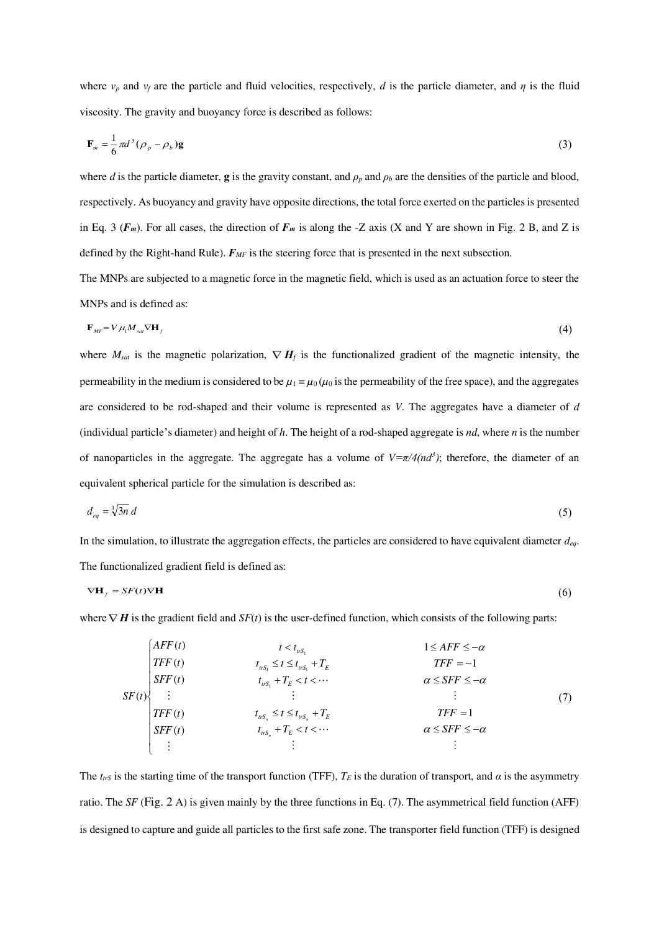where *vp* and *vf* are the particle and fluid velocities, respectively, *d* is the particle diameter, and *η* is the fluid viscosity. The gravity and buoyancy force is described as follows:

$$
\mathbf{F}_m = \frac{1}{6}\pi d^3(\rho_p - \rho_b)\mathbf{g}
$$
 (3)

where *d* is the particle diameter, **g** is the gravity constant, and  $\rho_p$  and  $\rho_b$  are the densities of the particle and blood, respectively. As buoyancy and gravity have opposite directions, the total force exerted on the particles is presented in Eq. 3 ( $F_m$ ). For all cases, the direction of  $F_m$  is along the -Z axis (X and Y are shown in Fig. 2 B, and Z is defined by the Right-hand Rule). *FMF* is the steering force that is presented in the next subsection.

The MNPs are subjected to a magnetic force in the magnetic field, which is used as an actuation force to steer the MNPs and is defined as:

$$
\mathbf{F}_{MF} = V \mu_1 M_{sat} \nabla \mathbf{H}_f \tag{4}
$$

where  $M_{sat}$  is the magnetic polarization,  $\nabla H_f$  is the functionalized gradient of the magnetic intensity, the permeability in the medium is considered to be  $\mu_1 = \mu_0 (\mu_0)$  is the permeability of the free space), and the aggregates are considered to be rod-shaped and their volume is represented as *V*. The aggregates have a diameter of *d* (individual particle's diameter) and height of *h*. The height of a rod-shaped aggregate is *nd*, where *n* is the number of nanoparticles in the aggregate. The aggregate has a volume of  $V = \pi/4 (nd^3)$ ; therefore, the diameter of an equivalent spherical particle for the simulation is described as:

$$
d_{eq} = \sqrt[3]{3n} \, d \tag{5}
$$

In the simulation, to illustrate the aggregation effects, the particles are considered to have equivalent diameter *deq*. The functionalized gradient field is defined as:

$$
\nabla \mathbf{H}_f = SF(t)\nabla \mathbf{H} \tag{6}
$$

where  $\nabla$  **H** is the gradient field and *SF(t)* is the user-defined function, which consists of the following parts:

$$
SF(t)
$$
\n
$$
F(t)
$$
\n
$$
F(t)
$$
\n
$$
F(t)
$$
\n
$$
F(t)
$$
\n
$$
F(t)
$$
\n
$$
F(t)
$$
\n
$$
F(t)
$$
\n
$$
t_{ns_1} \leq t \leq t_{ns_1} + T_E
$$
\n
$$
F(t)
$$
\n
$$
t_{ns_n} + T_E < t < \cdots
$$
\n
$$
t_{ns_n} \leq t \leq t_{ns_n} + T_E
$$
\n
$$
F(t)
$$
\n
$$
F(t)
$$
\n
$$
t_{ns_n} \leq t \leq t_{ns_n} + T_E
$$
\n
$$
F(t)
$$
\n
$$
F(t)
$$
\n
$$
F(t)
$$
\n
$$
F(t)
$$
\n
$$
F(t)
$$
\n
$$
F(t)
$$
\n
$$
F(t)
$$
\n
$$
F(t)
$$
\n
$$
F(t)
$$
\n
$$
F(t)
$$
\n
$$
F(t)
$$
\n
$$
F(t)
$$
\n
$$
F(t)
$$
\n
$$
F(t)
$$
\n
$$
F(t)
$$
\n
$$
F(t)
$$
\n
$$
F(t)
$$
\n
$$
F(t)
$$
\n
$$
F(t)
$$
\n
$$
F(t)
$$
\n
$$
F(t)
$$
\n
$$
F(t)
$$
\n
$$
F(t)
$$
\n
$$
F(t)
$$
\n
$$
F(t)
$$
\n
$$
F(t)
$$
\n
$$
F(t)
$$
\n
$$
F(t)
$$
\n
$$
F(t)
$$
\n
$$
F(t)
$$
\n
$$
F(t)
$$
\n
$$
F(t)
$$
\n
$$
F(t)
$$
\n
$$
F(t)
$$
\n
$$
F(t)
$$
\n
$$
F(t)
$$
\n
$$
F(t)
$$
\n
$$
F(t)
$$
\n
$$
F(t)
$$
\n
$$
F(t)
$$
\n
$$
F(t)
$$
\n
$$
F(t)
$$
\n
$$
F(t)
$$

The  $t_{trS}$  is the starting time of the transport function (TFF),  $T_E$  is the duration of transport, and  $\alpha$  is the asymmetry ratio. The *SF* ([Fig. 2](#page-13-0) A) is given mainly by the three functions in Eq. (7). The asymmetrical field function (AFF) is designed to capture and guide all particles to the first safe zone. The transporter field function (TFF) is designed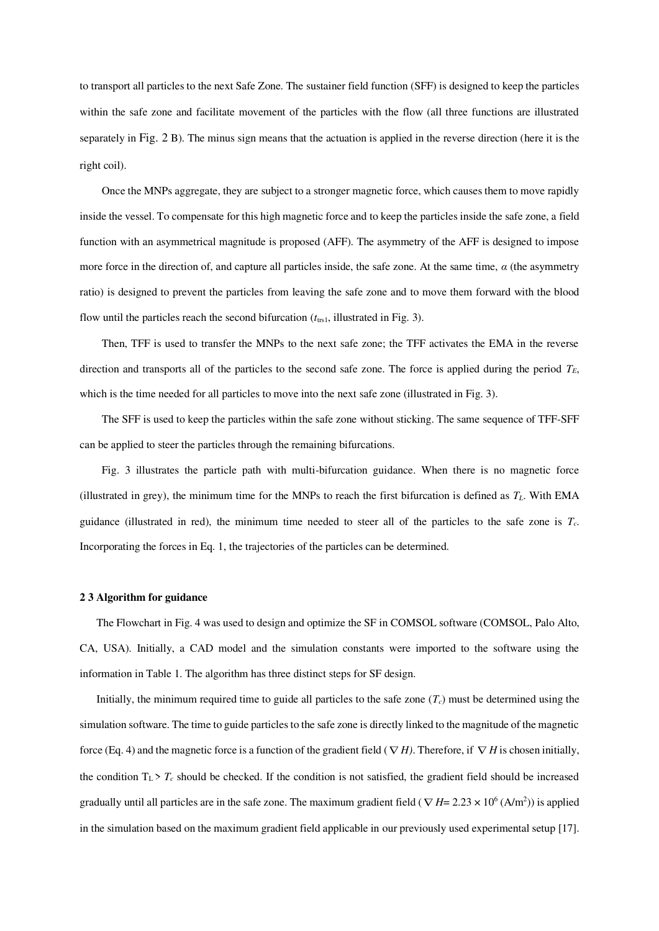to transport all particles to the next Safe Zone. The sustainer field function (SFF) is designed to keep the particles within the safe zone and facilitate movement of the particles with the flow (all three functions are illustrated separately in [Fig. 2](#page-13-0) B). The minus sign means that the actuation is applied in the reverse direction (here it is the right coil).

Once the MNPs aggregate, they are subject to a stronger magnetic force, which causes them to move rapidly inside the vessel. To compensate for this high magnetic force and to keep the particles inside the safe zone, a field function with an asymmetrical magnitude is proposed (AFF). The asymmetry of the AFF is designed to impose more force in the direction of, and capture all particles inside, the safe zone. At the same time, *α* (the asymmetry ratio) is designed to prevent the particles from leaving the safe zone and to move them forward with the blood flow until the particles reach the second bifurcation  $(t_{\text{trs1}},$  illustrated in [Fig. 3\)](#page-14-0).

Then, TFF is used to transfer the MNPs to the next safe zone; the TFF activates the EMA in the reverse direction and transports all of the particles to the second safe zone. The force is applied during the period  $T_E$ , which is the time needed for all particles to move into the next safe zone (illustrated i[n Fig. 3\)](#page-14-0).

The SFF is used to keep the particles within the safe zone without sticking. The same sequence of TFF-SFF can be applied to steer the particles through the remaining bifurcations.

[Fig. 3](#page-14-0) illustrates the particle path with multi-bifurcation guidance. When there is no magnetic force (illustrated in grey), the minimum time for the MNPs to reach the first bifurcation is defined as  $T_L$ . With EMA guidance (illustrated in red), the minimum time needed to steer all of the particles to the safe zone is *Tc*. Incorporating the forces in Eq. 1, the trajectories of the particles can be determined.

#### **2 3 Algorithm for guidance**

The Flowchart in [Fig. 4](#page-15-0) was used to design and optimize the SF in COMSOL software (COMSOL, Palo Alto, CA, USA). Initially, a CAD model and the simulation constants were imported to the software using the information in [Table 1.](#page-10-0) The algorithm has three distinct steps for SF design.

Initially, the minimum required time to guide all particles to the safe zone  $(T_c)$  must be determined using the simulation software. The time to guide particles to the safe zone is directly linked to the magnitude of the magnetic force (Eq. 4) and the magnetic force is a function of the gradient field ( $\nabla H$ ). Therefore, if  $\nabla H$  is chosen initially, the condition  $T_L$  >  $T_c$  should be checked. If the condition is not satisfied, the gradient field should be increased gradually until all particles are in the safe zone. The maximum gradient field ( $\nabla H$  = 2.23  $\times$  10<sup>6</sup> (A/m<sup>2</sup>)) is applied in the simulation based on the maximum gradient field applicable in our previously used experimental setup [17].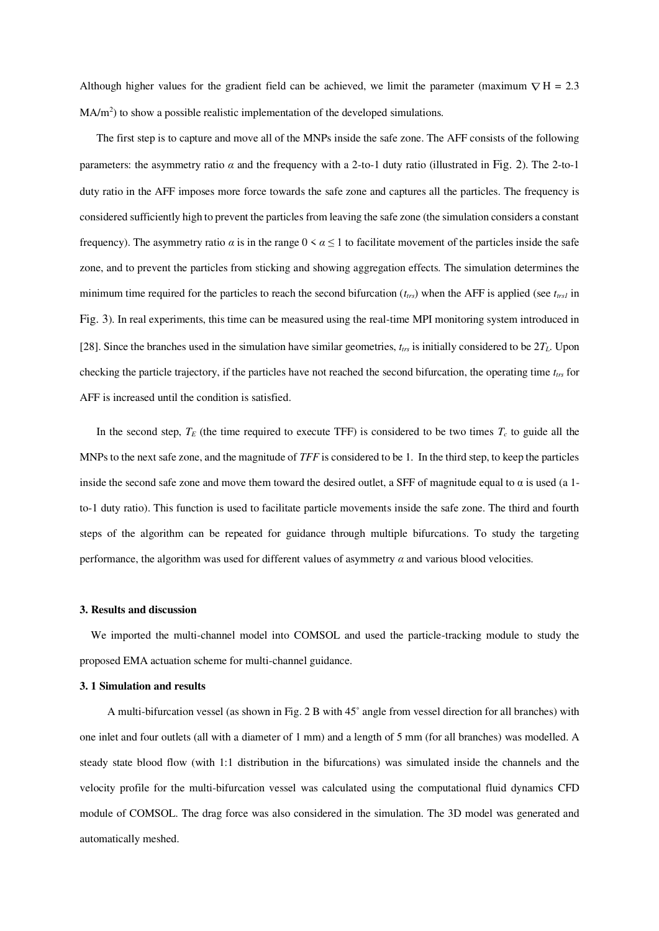Although higher values for the gradient field can be achieved, we limit the parameter (maximum  $\nabla H = 2.3$ MA/m<sup>2</sup>) to show a possible realistic implementation of the developed simulations.

The first step is to capture and move all of the MNPs inside the safe zone. The AFF consists of the following parameters: the asymmetry ratio  $\alpha$  and the frequency with a 2-to-1 duty ratio (illustrated in [Fig. 2](#page-13-0)). The 2-to-1 duty ratio in the AFF imposes more force towards the safe zone and captures all the particles. The frequency is considered sufficiently high to prevent the particles from leaving the safe zone (the simulation considers a constant frequency). The asymmetry ratio  $\alpha$  is in the range  $0 \le \alpha \le 1$  to facilitate movement of the particles inside the safe zone, and to prevent the particles from sticking and showing aggregation effects. The simulation determines the minimum time required for the particles to reach the second bifurcation  $(t_{trs})$  when the AFF is applied (see  $t_{trs1}$  in [Fig. 3](#page-14-0)). In real experiments, this time can be measured using the real-time MPI monitoring system introduced in [28]. Since the branches used in the simulation have similar geometries,  $t_{trs}$  is initially considered to be  $2T<sub>L</sub>$ . Upon checking the particle trajectory, if the particles have not reached the second bifurcation, the operating time *ttrs* for AFF is increased until the condition is satisfied.

In the second step,  $T_E$  (the time required to execute TFF) is considered to be two times  $T_c$  to guide all the MNPs to the next safe zone, and the magnitude of *TFF* is considered to be 1. In the third step, to keep the particles inside the second safe zone and move them toward the desired outlet, a SFF of magnitude equal to  $\alpha$  is used (a 1to-1 duty ratio). This function is used to facilitate particle movements inside the safe zone. The third and fourth steps of the algorithm can be repeated for guidance through multiple bifurcations. To study the targeting performance, the algorithm was used for different values of asymmetry  $\alpha$  and various blood velocities.

#### **3. Results and discussion**

We imported the multi-channel model into COMSOL and used the particle-tracking module to study the proposed EMA actuation scheme for multi-channel guidance.

#### **3. 1 Simulation and results**

A multi-bifurcation vessel (as shown in Fig. 2 B with 45˚ angle from vessel direction for all branches) with one inlet and four outlets (all with a diameter of 1 mm) and a length of 5 mm (for all branches) was modelled. A steady state blood flow (with 1:1 distribution in the bifurcations) was simulated inside the channels and the velocity profile for the multi-bifurcation vessel was calculated using the computational fluid dynamics CFD module of COMSOL. The drag force was also considered in the simulation. The 3D model was generated and automatically meshed.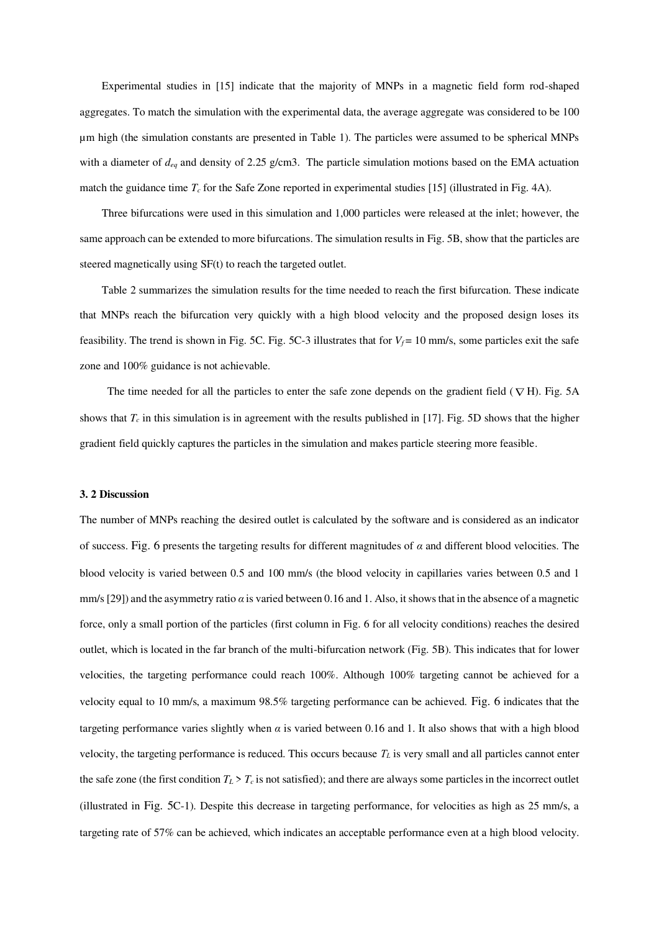Experimental studies in [15] indicate that the majority of MNPs in a magnetic field form rod-shaped aggregates. To match the simulation with the experimental data, the average aggregate was considered to be 100 µm high (the simulation constants are presented in Table 1). The particles were assumed to be spherical MNPs with a diameter of  $d_{eq}$  and density of 2.25 g/cm3. The particle simulation motions based on the EMA actuation match the guidance time  $T_c$  for the Safe Zone reported in experimental studies [15] (illustrated in Fig. 4A).

Three bifurcations were used in this simulation and 1,000 particles were released at the inlet; however, the same approach can be extended to more bifurcations. The simulation results i[n Fig. 5B](#page-16-0), show that the particles are steered magnetically using SF(t) to reach the targeted outlet.

Table 2 summarizes the simulation results for the time needed to reach the first bifurcation. These indicate that MNPs reach the bifurcation very quickly with a high blood velocity and the proposed design loses its feasibility. The trend is shown in [Fig. 5C](#page-16-0). Fig. 5C-3 illustrates that for  $V_f = 10$  mm/s, some particles exit the safe zone and 100% guidance is not achievable.

The time needed for all the particles to enter the safe zone depends on the gradient field ( $\nabla$ H). [Fig. 5A](#page-16-0) shows that  $T_c$  in this simulation is in agreement with the results published in [17]. [Fig. 5D](#page-16-0) shows that the higher gradient field quickly captures the particles in the simulation and makes particle steering more feasible.

#### **3. 2 Discussion**

The number of MNPs reaching the desired outlet is calculated by the software and is considered as an indicator of success. [Fig. 6](#page-17-0) presents the targeting results for different magnitudes of *α* and different blood velocities. The blood velocity is varied between 0.5 and 100 mm/s (the blood velocity in capillaries varies between 0.5 and 1 mm/s [29]) and the asymmetry ratio *α* is varied between 0.16 and 1. Also, it shows that in the absence of a magnetic force, only a small portion of the particles (first column in Fig. 6 for all velocity conditions) reaches the desired outlet, which is located in the far branch of the multi-bifurcation network [\(Fig. 5B](#page-16-0)). This indicates that for lower velocities, the targeting performance could reach 100%. Although 100% targeting cannot be achieved for a velocity equal to 10 mm/s, a maximum 98.5% targeting performance can be achieved. [Fig. 6](#page-17-0) indicates that the targeting performance varies slightly when  $\alpha$  is varied between 0.16 and 1. It also shows that with a high blood velocity, the targeting performance is reduced. This occurs because *T<sup>L</sup>* is very small and all particles cannot enter the safe zone (the first condition  $T_L > T_c$  is not satisfied); and there are always some particles in the incorrect outlet (illustrated in [Fig. 5](#page-16-0)C-1). Despite this decrease in targeting performance, for velocities as high as 25 mm/s, a targeting rate of 57% can be achieved, which indicates an acceptable performance even at a high blood velocity.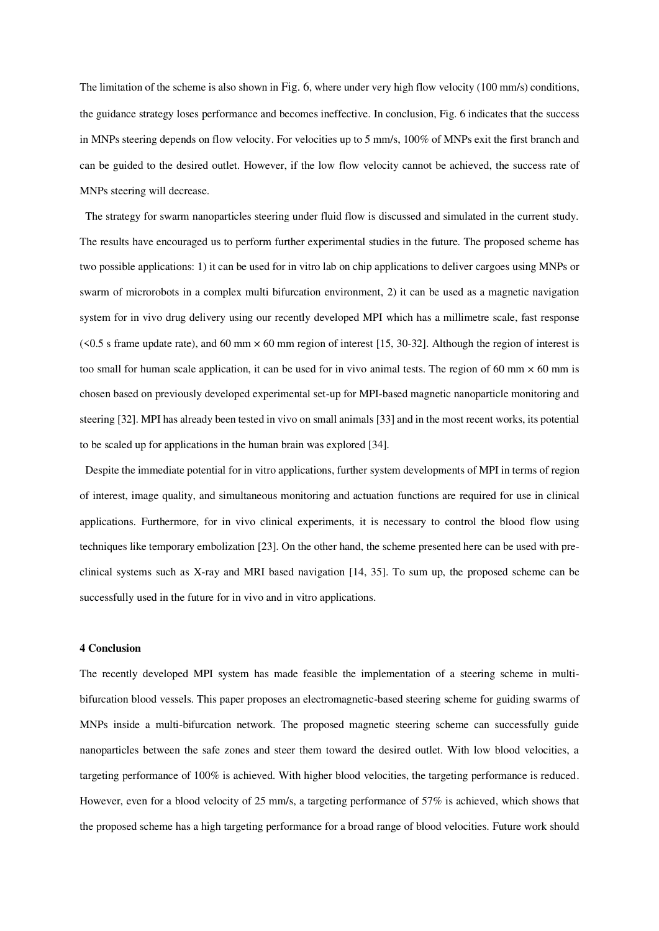The limitation of the scheme is also shown in [Fig. 6](#page-17-0), where under very high flow velocity (100 mm/s) conditions, the guidance strategy loses performance and becomes ineffective. In conclusion, Fig. 6 indicates that the success in MNPs steering depends on flow velocity. For velocities up to 5 mm/s, 100% of MNPs exit the first branch and can be guided to the desired outlet. However, if the low flow velocity cannot be achieved, the success rate of MNPs steering will decrease.

The strategy for swarm nanoparticles steering under fluid flow is discussed and simulated in the current study. The results have encouraged us to perform further experimental studies in the future. The proposed scheme has two possible applications: 1) it can be used for in vitro lab on chip applications to deliver cargoes using MNPs or swarm of microrobots in a complex multi bifurcation environment, 2) it can be used as a magnetic navigation system for in vivo drug delivery using our recently developed MPI which has a millimetre scale, fast response  $(5.5 s)$  frame update rate), and 60 mm  $\times$  60 mm region of interest [15, 30-32]. Although the region of interest is too small for human scale application, it can be used for in vivo animal tests. The region of 60 mm  $\times$  60 mm is chosen based on previously developed experimental set-up for MPI-based magnetic nanoparticle monitoring and steering [32]. MPI has already been tested in vivo on small animals [33] and in the most recent works, its potential to be scaled up for applications in the human brain was explored [34].

Despite the immediate potential for in vitro applications, further system developments of MPI in terms of region of interest, image quality, and simultaneous monitoring and actuation functions are required for use in clinical applications. Furthermore, for in vivo clinical experiments, it is necessary to control the blood flow using techniques like temporary embolization [23]. On the other hand, the scheme presented here can be used with preclinical systems such as X-ray and MRI based navigation [14, 35]. To sum up, the proposed scheme can be successfully used in the future for in vivo and in vitro applications.

#### **4 Conclusion**

The recently developed MPI system has made feasible the implementation of a steering scheme in multibifurcation blood vessels. This paper proposes an electromagnetic-based steering scheme for guiding swarms of MNPs inside a multi-bifurcation network. The proposed magnetic steering scheme can successfully guide nanoparticles between the safe zones and steer them toward the desired outlet. With low blood velocities, a targeting performance of 100% is achieved. With higher blood velocities, the targeting performance is reduced. However, even for a blood velocity of 25 mm/s, a targeting performance of 57% is achieved, which shows that the proposed scheme has a high targeting performance for a broad range of blood velocities. Future work should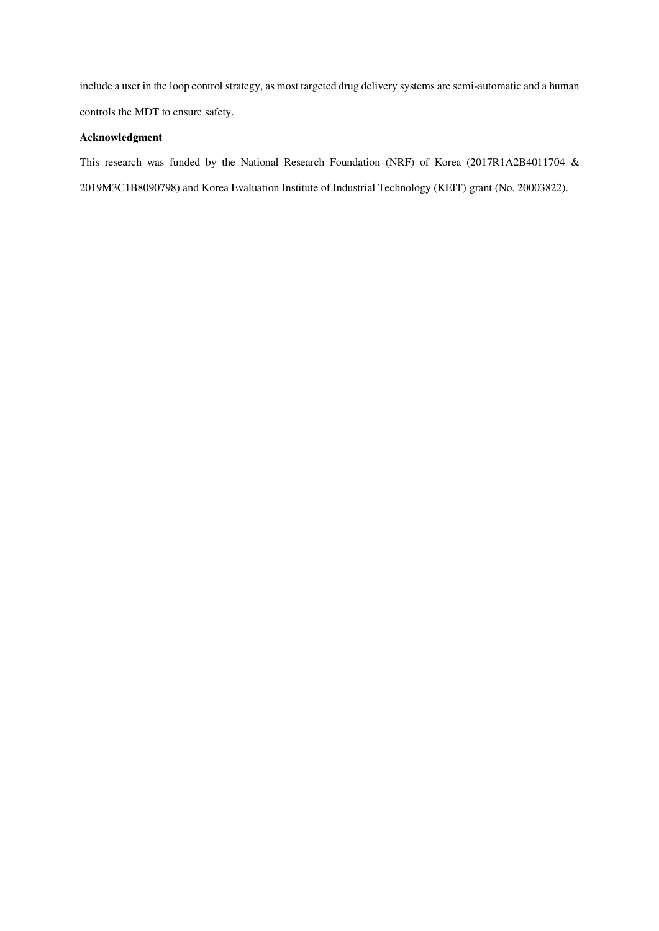include a user in the loop control strategy, as most targeted drug delivery systems are semi-automatic and a human controls the MDT to ensure safety.

# **Acknowledgment**

This research was funded by the National Research Foundation (NRF) of Korea (2017R1A2B4011704 & 2019M3C1B8090798) and Korea Evaluation Institute of Industrial Technology (KEIT) grant (No. 20003822).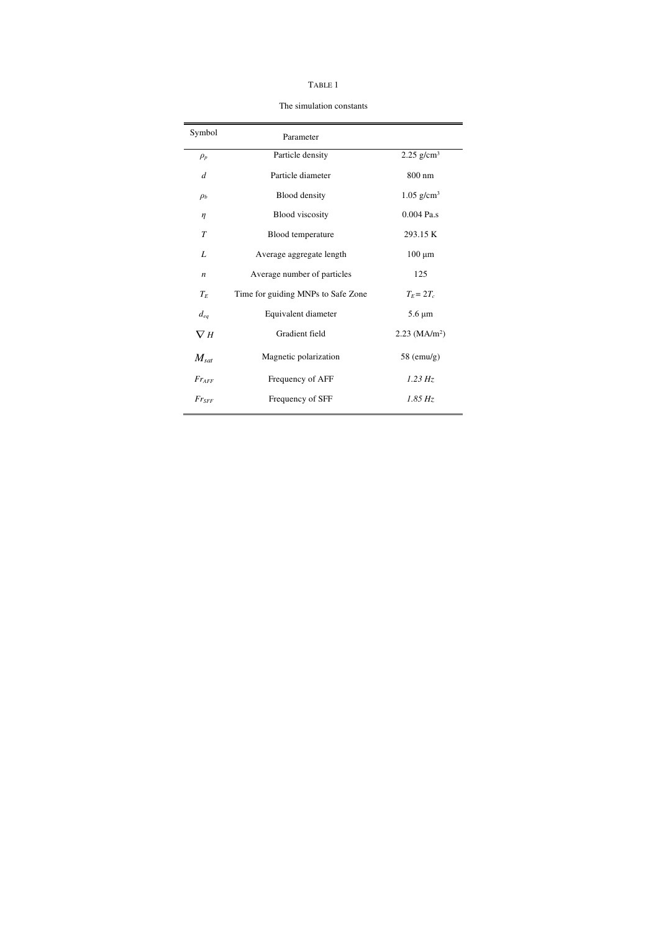|--|--|

The simulation constants

<span id="page-10-0"></span>

| Symbol           |                                    |                             |
|------------------|------------------------------------|-----------------------------|
|                  | Parameter                          |                             |
| $\rho_p$         | Particle density                   | $2.25$ g/cm <sup>3</sup>    |
| d                | Particle diameter                  | 800 nm                      |
| $\rho_b$         | Blood density                      | $1.05$ g/cm <sup>3</sup>    |
| η                | <b>Blood</b> viscosity             | 0.004 Pa.s                  |
| $\tau$           | Blood temperature                  | 293.15 K                    |
| L                | Average aggregate length           | $100 \mu m$                 |
| $\boldsymbol{n}$ | Average number of particles        | 125                         |
| $T_E$            | Time for guiding MNPs to Safe Zone | $T_F = 2T_c$                |
| $d_{eq}$         | Equivalent diameter                | $5.6 \mu m$                 |
| $\nabla$ H       | Gradient field                     | $2.23$ (MA/m <sup>2</sup> ) |
| $M_{sat}$        | Magnetic polarization              | $58 \text{ (emu/g)}$        |
| $Fr_{AFF}$       | Frequency of AFF                   | 1.23 Hz                     |
| $Fr_{SFF}$       | Frequency of SFF                   | $1.85\,Hz$                  |
|                  |                                    |                             |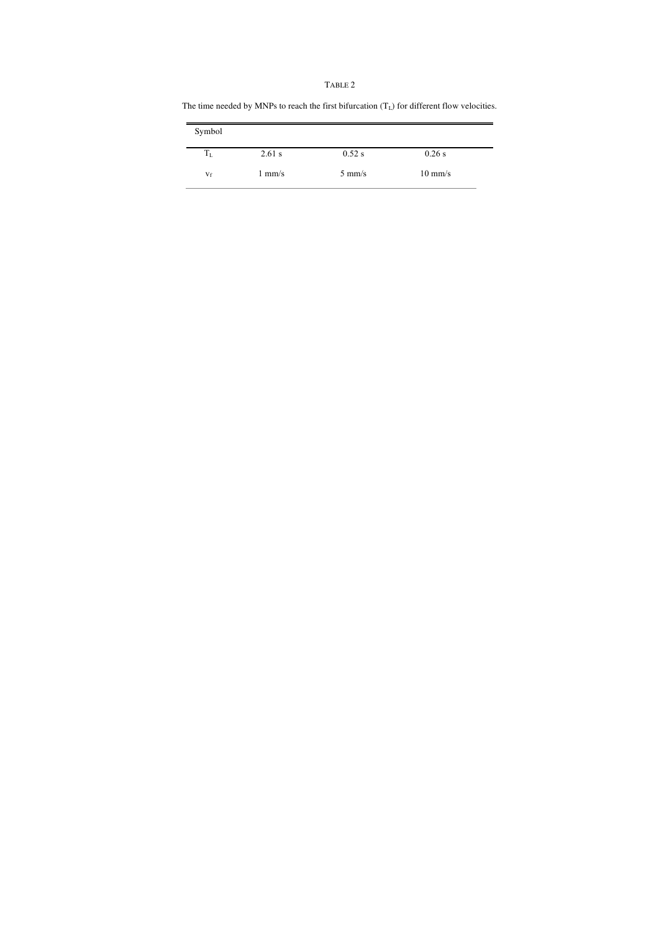#### TABLE 2

The time needed by MNPs to reach the first bifurcation  $(\mathrm{T}_\mathrm{L})$  for different flow velocities.

| Symbol  |                  |                  |                   |  |
|---------|------------------|------------------|-------------------|--|
| $T_{L}$ | $2.61$ s         | $0.52$ s         | $0.26$ s          |  |
| $V_f$   | $1 \text{ mm/s}$ | $5 \text{ mm/s}$ | $10 \text{ mm/s}$ |  |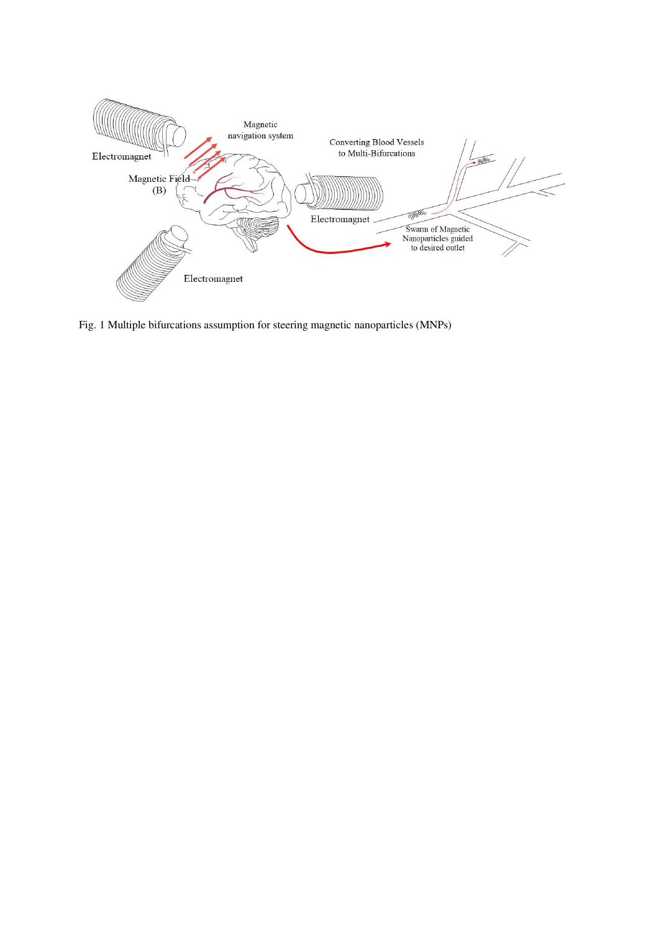<span id="page-12-0"></span>

Fig. 1 Multiple bifurcations assumption for steering magnetic nanoparticles (MNPs)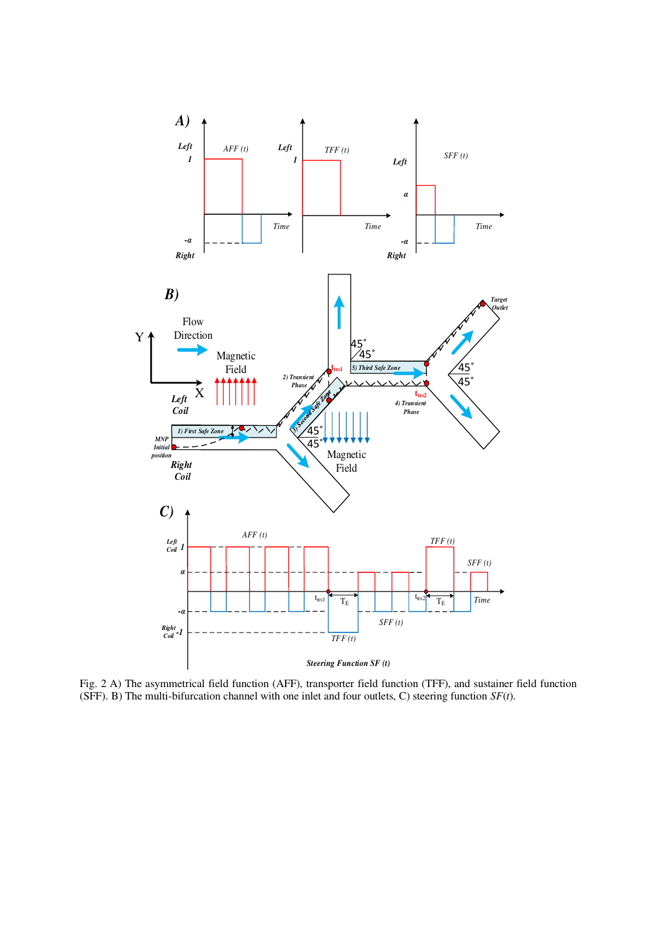

<span id="page-13-0"></span>Fig. 2 A) The asymmetrical field function (AFF), transporter field function (TFF), and sustainer field function (SFF). B) The multi-bifurcation channel with one inlet and four outlets, C) steering function *SF*(*t*).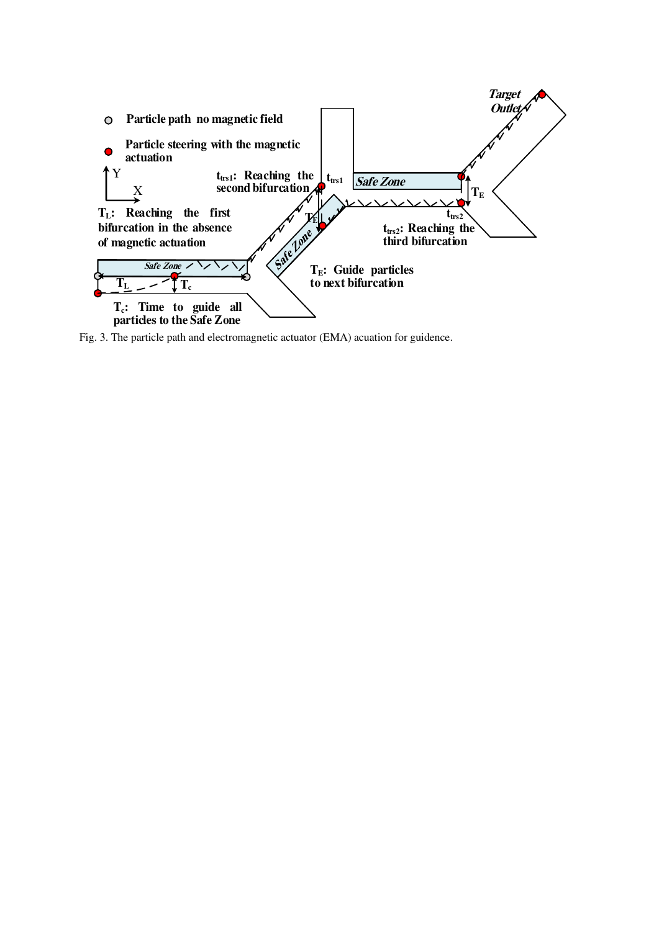

<span id="page-14-0"></span>Fig. 3. The particle path and electromagnetic actuator (EMA) acuation for guidence.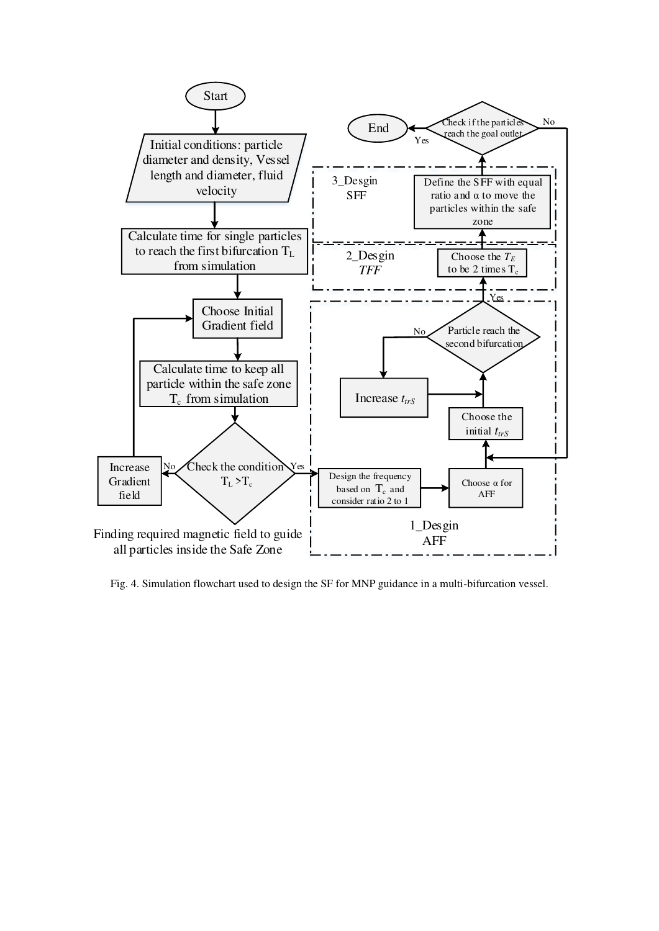

<span id="page-15-0"></span>Fig. 4. Simulation flowchart used to design the SF for MNP guidance in a multi-bifurcation vessel.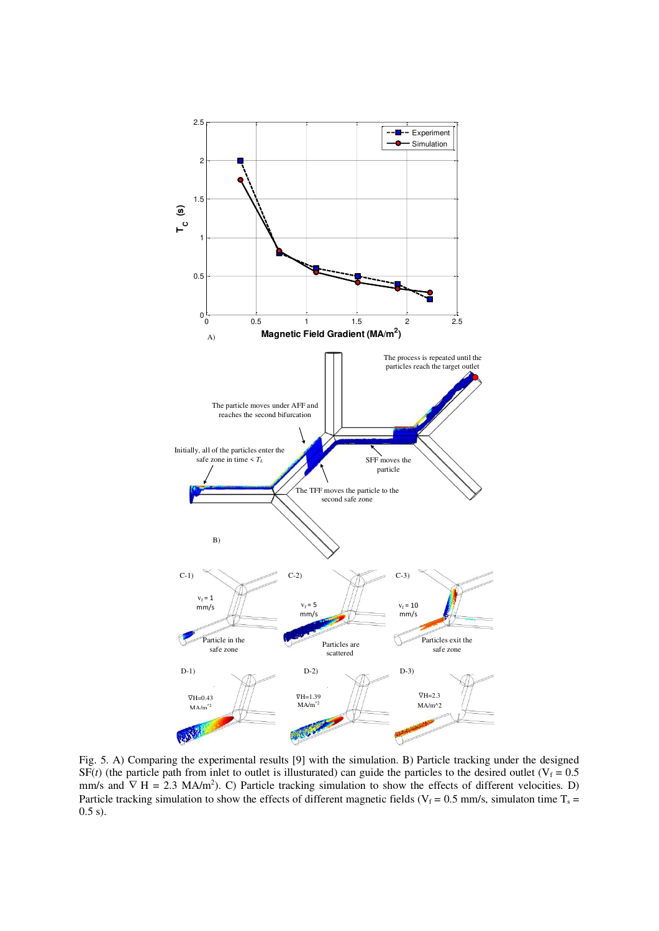

<span id="page-16-0"></span>Fig. 5. A) Comparing the experimental results [9] with the simulation. B) Particle tracking under the designed  $SF(t)$  (the particle path from inlet to outlet is illusturated) can guide the particles to the desired outlet ( $V_f = 0.5$ mm/s and  $\nabla$  H = 2.3 MA/m<sup>2</sup>). C) Particle tracking simulation to show the effects of different velocities. D) Particle tracking simulation to show the effects of different magnetic fields ( $V_f = 0.5$  mm/s, simulaton time  $T_s =$ 0.5 s).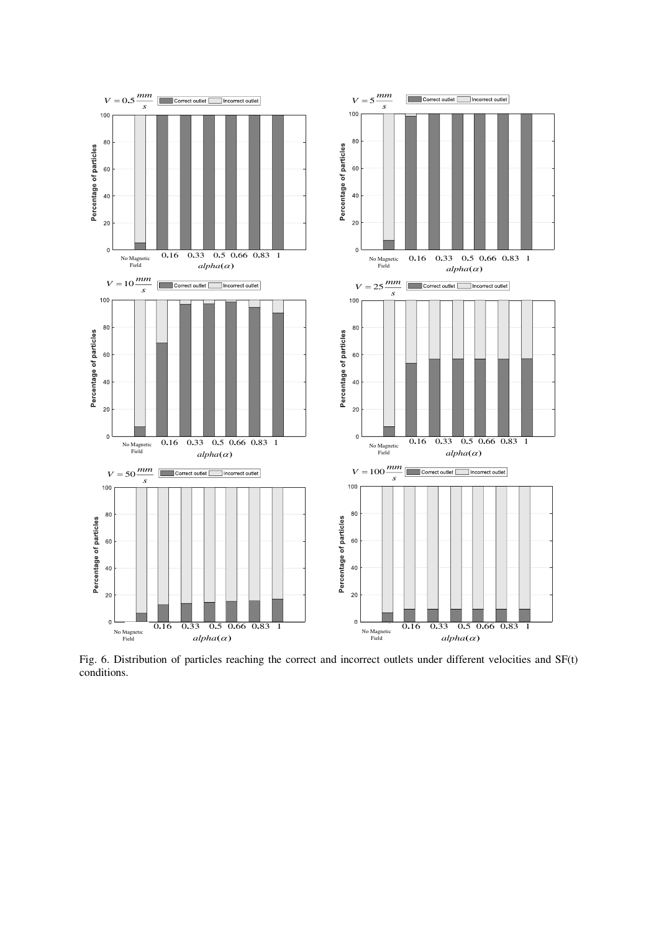

<span id="page-17-0"></span>Fig. 6. Distribution of particles reaching the correct and incorrect outlets under different velocities and SF(t) conditions.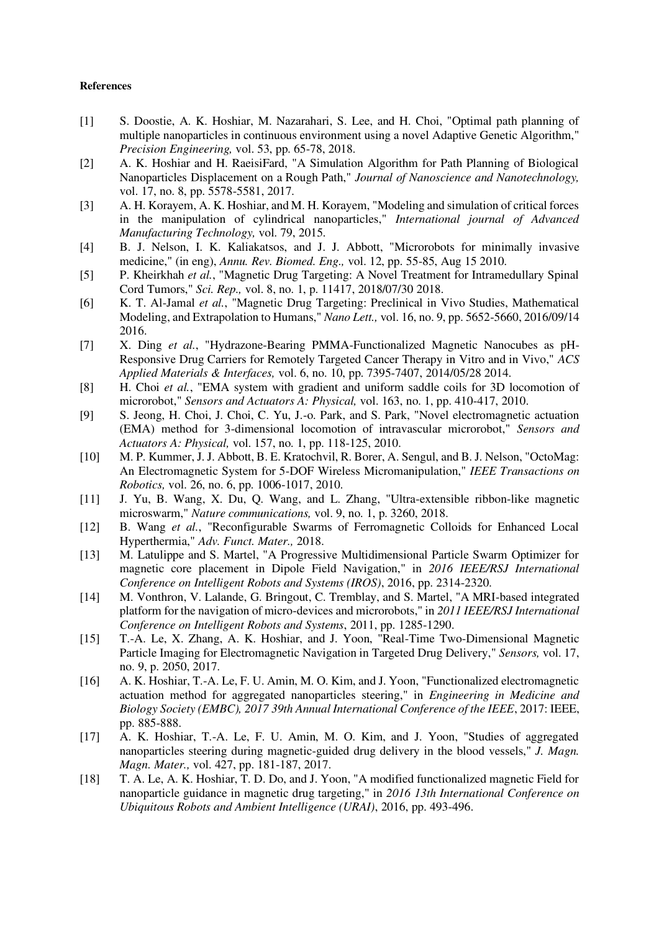# **References**

- [1] S. Doostie, A. K. Hoshiar, M. Nazarahari, S. Lee, and H. Choi, "Optimal path planning of multiple nanoparticles in continuous environment using a novel Adaptive Genetic Algorithm," *Precision Engineering,* vol. 53, pp. 65-78, 2018.
- [2] A. K. Hoshiar and H. RaeisiFard, "A Simulation Algorithm for Path Planning of Biological Nanoparticles Displacement on a Rough Path," *Journal of Nanoscience and Nanotechnology,*  vol. 17, no. 8, pp. 5578-5581, 2017.
- [3] A. H. Korayem, A. K. Hoshiar, and M. H. Korayem, "Modeling and simulation of critical forces in the manipulation of cylindrical nanoparticles," *International journal of Advanced Manufacturing Technology,* vol. 79, 2015.
- [4] B. J. Nelson, I. K. Kaliakatsos, and J. J. Abbott, "Microrobots for minimally invasive medicine," (in eng), *Annu. Rev. Biomed. Eng.,* vol. 12, pp. 55-85, Aug 15 2010.
- [5] P. Kheirkhah *et al.*, "Magnetic Drug Targeting: A Novel Treatment for Intramedullary Spinal Cord Tumors," *Sci. Rep.,* vol. 8, no. 1, p. 11417, 2018/07/30 2018.
- [6] K. T. Al-Jamal *et al.*, "Magnetic Drug Targeting: Preclinical in Vivo Studies, Mathematical Modeling, and Extrapolation to Humans," *Nano Lett.,* vol. 16, no. 9, pp. 5652-5660, 2016/09/14 2016.
- [7] X. Ding *et al.*, "Hydrazone-Bearing PMMA-Functionalized Magnetic Nanocubes as pH-Responsive Drug Carriers for Remotely Targeted Cancer Therapy in Vitro and in Vivo," *ACS Applied Materials & Interfaces,* vol. 6, no. 10, pp. 7395-7407, 2014/05/28 2014.
- [8] H. Choi *et al.*, "EMA system with gradient and uniform saddle coils for 3D locomotion of microrobot," *Sensors and Actuators A: Physical,* vol. 163, no. 1, pp. 410-417, 2010.
- [9] S. Jeong, H. Choi, J. Choi, C. Yu, J.-o. Park, and S. Park, "Novel electromagnetic actuation (EMA) method for 3-dimensional locomotion of intravascular microrobot," *Sensors and Actuators A: Physical,* vol. 157, no. 1, pp. 118-125, 2010.
- [10] M. P. Kummer, J. J. Abbott, B. E. Kratochvil, R. Borer, A. Sengul, and B. J. Nelson, "OctoMag: An Electromagnetic System for 5-DOF Wireless Micromanipulation," *IEEE Transactions on Robotics,* vol. 26, no. 6, pp. 1006-1017, 2010.
- [11] J. Yu, B. Wang, X. Du, Q. Wang, and L. Zhang, "Ultra-extensible ribbon-like magnetic microswarm," *Nature communications,* vol. 9, no. 1, p. 3260, 2018.
- [12] B. Wang *et al.*, "Reconfigurable Swarms of Ferromagnetic Colloids for Enhanced Local Hyperthermia," *Adv. Funct. Mater.,* 2018.
- [13] M. Latulippe and S. Martel, "A Progressive Multidimensional Particle Swarm Optimizer for magnetic core placement in Dipole Field Navigation," in *2016 IEEE/RSJ International Conference on Intelligent Robots and Systems (IROS)*, 2016, pp. 2314-2320.
- [14] M. Vonthron, V. Lalande, G. Bringout, C. Tremblay, and S. Martel, "A MRI-based integrated platform for the navigation of micro-devices and microrobots," in *2011 IEEE/RSJ International Conference on Intelligent Robots and Systems*, 2011, pp. 1285-1290.
- [15] T.-A. Le, X. Zhang, A. K. Hoshiar, and J. Yoon, "Real-Time Two-Dimensional Magnetic Particle Imaging for Electromagnetic Navigation in Targeted Drug Delivery," *Sensors,* vol. 17, no. 9, p. 2050, 2017.
- [16] A. K. Hoshiar, T.-A. Le, F. U. Amin, M. O. Kim, and J. Yoon, "Functionalized electromagnetic actuation method for aggregated nanoparticles steering," in *Engineering in Medicine and Biology Society (EMBC), 2017 39th Annual International Conference of the IEEE*, 2017: IEEE, pp. 885-888.
- [17] A. K. Hoshiar, T.-A. Le, F. U. Amin, M. O. Kim, and J. Yoon, "Studies of aggregated nanoparticles steering during magnetic-guided drug delivery in the blood vessels," *J. Magn. Magn. Mater.,* vol. 427, pp. 181-187, 2017.
- [18] T. A. Le, A. K. Hoshiar, T. D. Do, and J. Yoon, "A modified functionalized magnetic Field for nanoparticle guidance in magnetic drug targeting," in *2016 13th International Conference on Ubiquitous Robots and Ambient Intelligence (URAI)*, 2016, pp. 493-496.